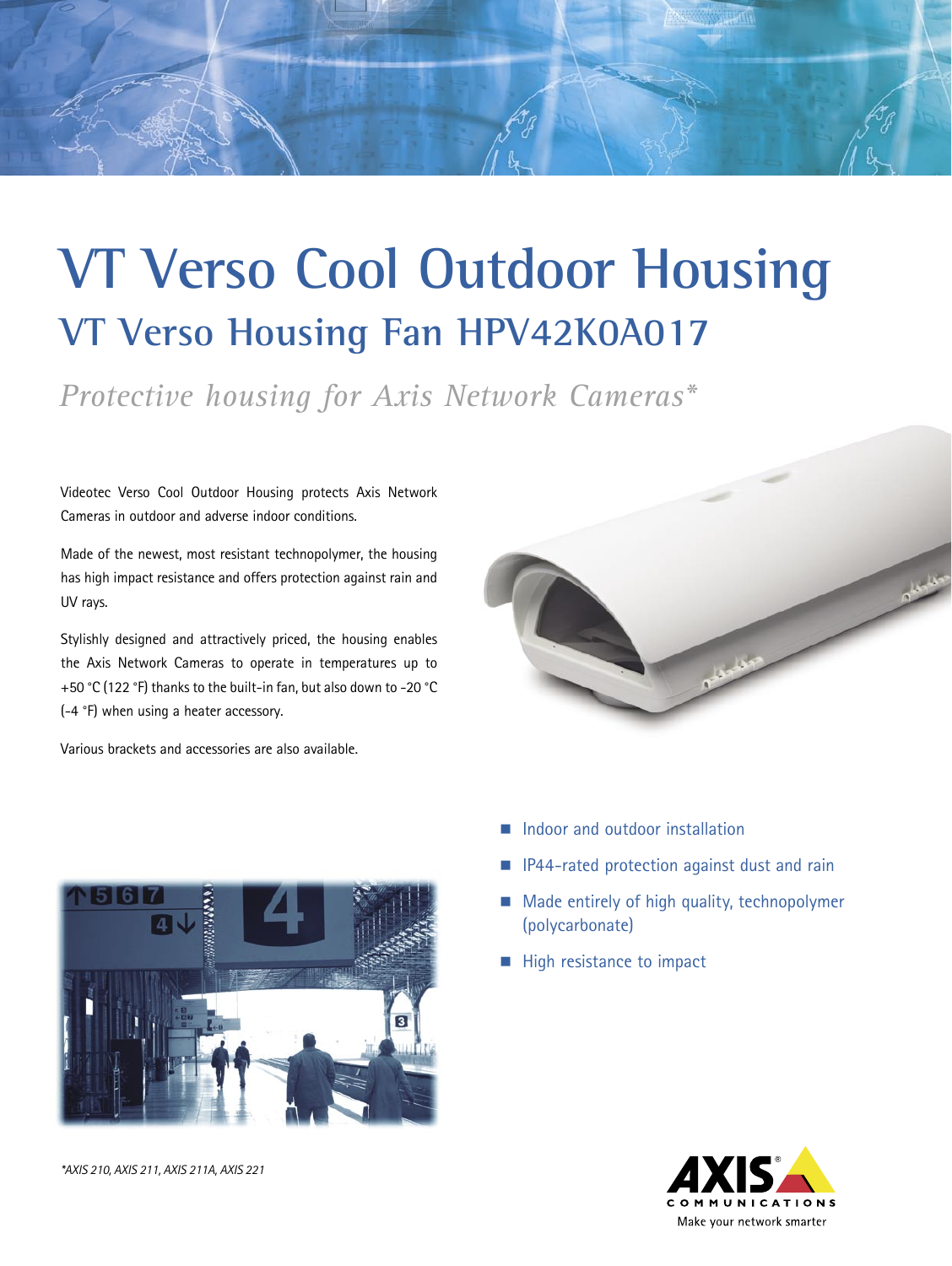## **VT Verso Cool Outdoor Housing VT Verso Housing Fan HPV42K0A017**

*Protective housing for Axis Network Cameras\**

Videotec Verso Cool Outdoor Housing protects Axis Network Cameras in outdoor and adverse indoor conditions.

Made of the newest, most resistant technopolymer, the housing has high impact resistance and offers protection against rain and UV rays.

Stylishly designed and attractively priced, the housing enables the Axis Network Cameras to operate in temperatures up to +50 °C (122 °F) thanks to the built-in fan, but also down to -20 °C (-4 °F) when using a heater accessory.

Various brackets and accessories are also available.





- Indoor and outdoor installation
- IP44-rated protection against dust and rain
- Made entirely of high quality, technopolymer (polycarbonate)
- $\blacksquare$  High resistance to impact



*\*AXIS 210, AXIS 211, AXIS 211A, AXIS 221*